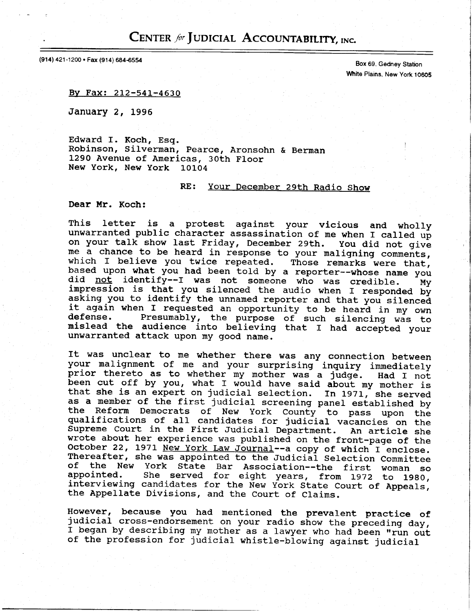## CENTER for JUDICIAL ACCOUNTABILITY, INC.

(914) 421-1200 · Fax (914) 684-6554

Box 69, Gedney Station White Plains, New york 1o6os

By Fax: 212-541-4630

January 2, L996

Edward I. Koch, Esq. Robinson, Silverman, pearce, Aronsohn & Berman L29O Avenue of Americas, 30th Floor New York, New York 10104

## RE: Your December 29th Radio Show

Dear Mr. Koch:

This letter is a protest against your vicious and wholly unwarranted public character assassination of me when I called up on your talk show last Friday, December 29th. You did not give me a chance to be heard in response to your maligning comments, which I believe you twice repeated. Those remarks were that, based upon what you had been told by a reporter--whose name you did  $\overline{\text{not}}$  identify--I was not someone who was credible. impression is that you silenced the audio when I responded by asking you to identify the unnamed reporter and that you silenced it again when I requested an opportunity to be heard in my own<br>defense. Presumably, the purpose of such silencing was to Presumably, the purpose of such silencing was to mislead the audience into believing that I had accepted your unwarranted attack upon my good name.

It was unclear to me whether there was any connection between your malignment of me and your surprising inquiry immediate prior thereto as to whether my mother was a judge. Had I not been cut off by you, what I would have said about my mother is that she is an expert on judicial selection. In 1971, she served as a member of the first judicial screening panel established by<br>the Reform Democrats of New York County to pass upon the qualifications of all candidates for judicial vacancies on the Supreme Court in the First Judicial Department. An article she wrote about her experience was published on the front-page of the October 22, 1971 New York Law Journal--a copy of which I enclose. Thereafter, she was appointed to the Judicial Selection Committee of the New York State Bar Association--the first woman so<br>appointed. She served for eight years, from 1972 to 1980 She served for eight years, from 1972 to 1980, interviewing candidates for the New York State Court of Appeals, the Appellate Divisions, and the Court of Claims.

However, because you had mentioned the prevalent practice of judicial cross-endorsement on your radio show the preceding day, I began by describing my mother as a lawyer who had been "run out of the profession for judicial whistle-blowing against judicial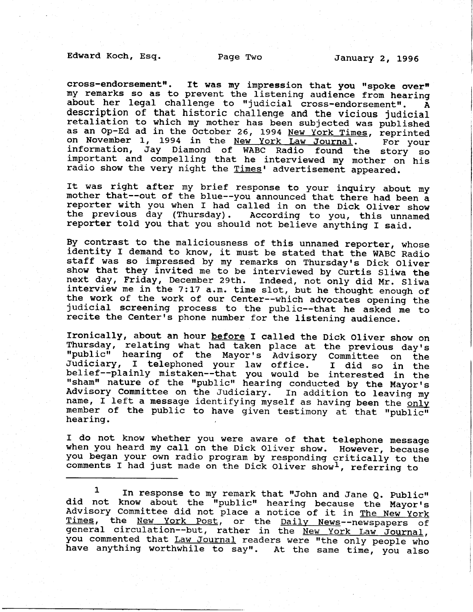cross-endorsement". It was my impression that you "spoke over" my remarks so as to prevent the listening audience from hearing about her legal challenge to "judicial cross-endorsement".  $\tilde{A}$ description of that historic challenge and the vicious judicial retaliation to which my mother has been subjected was published as an Op-Ed ad in the October 26, 1994 New York Times, reprinted<br>on November 1, 1994 in the New York Law Journal. For your on November 1, 1994 in the New York Law Journal. information, Jay Diamond of WABC Radio found the story so important and compelling that he interviewed my mother on his radio show the very night the Times' advertisement appeared.

It was right after my brief response to your inquiry about my mother that--out of the blue--you announced that there had been a reporter with you when f had called in on the Dick Oliver show the previous day (Thursday). According to you, this unnamed reporter told you that you should not believe anything I said.

By contrast to the maliciousness of this unnamed reporter, whose identity I demand to know, it must be stated that the WABC Radio staff was so impressed by my remarks on Thursday's Dick Oliver show that they invited me to be interviewed by Curtis Sliwa the next day, Friday, December 29th. Indeed, not only did Mr. Sliw interview me in the 7:17 a.m. time slot, but he thought enough of the work of the work of our Center--which advocates opening the judicial screening process to the public--that he asked me to recite the Center's phone number for the listening audience.

Ironically, about an hour before f called the Dick Oliver show on Thursday, relating what had taken place at the previous day's<br>"public" hearing of the Mayor's Advisory Committee on the<br>Judiciary, I telephoned your law office. I did so in the Judiciary, I telephoned your law office. I did so in the<br>belief--plainly mistaken--that you would be interested in the belief--prainry mistaken--that you wourd be interested in the rrshamn nature. of the ttpublictt- hearing conducted by the Mayorrs Advisory Committee on the Judiciary. In addition to leaving my name, I left a message identifying myself as having been the only member of the public to have given testimony at that "public" hearing

I do not know whether you were aware of that telephone message when you heard my call on the Dick Oliver show. However, because you began your own radio program by responding critically to the comments I had just made on the Dick Oliver show<sup>1</sup>, referring to

 $1$  In response to my remark that "John and Jane Q. Public" did not know about the "public" hearing because the Mayor's Advisory Committee did not place a notice of it in The New York<br>Times, the New York Post, or the Daily News--newspapers of general circulation--but, rather in the New York Law Journal, you commented that Law Journal readers were "the only people who have anything worthwhile to say". At the same time, you also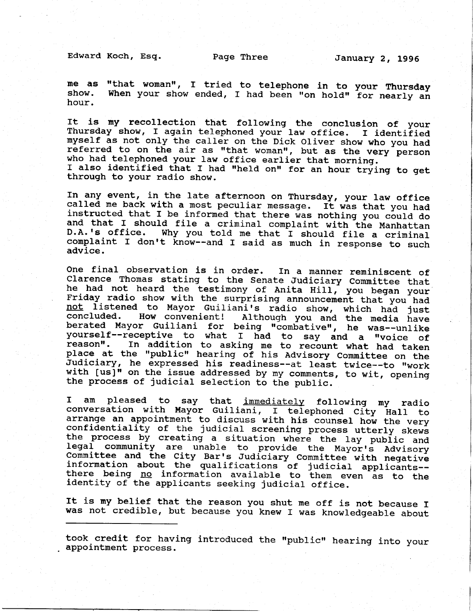Edward Koch, Esq.

me as "that woman", I tried to telephone in to your Thursday show. When your show ended, I had been "on hold" for nearly an hour.

It is my recollection that following the conclusion of your Thursday show, I again telephoned your law office. I identified myself as not only the caller on the Dick Oliver show who you had referred to on the air as "that woman", but as the very person who had telephoned your law office earlier that morning. I also identified that I had "held on" for an hour trying to get through to your radio show.

In any event, in the late afternoon on Thursday, your law office<br>called me back with a most peculiar message. It was that you had called me back with a most peculiar message. It was that you had<br>instructed that I be informed that there was nothing you could do and that I should file a criminal complaint with the Manhatta D.A.'s office. Why you told me that I should file a criminal complaint I don't know--and I said as much in response to such advice.

One final observation is in order. In a manner reminiscent of<br>Clarence Thomas stating to the Senate Judiciary Committee that he had not heard the testimony of Anita Hill, you began your Friday radio show with the surprising announcement that you had not listened to Mayor Guiliani's radio show, which had just<br>concluded. How convenient! Although you and the media have concluded. How convenient! Although you and the media have<br>berated Mayor Guiliani for being "combative", he was--unlike yourself--receptive to what I had to say and a "voice of<br>reason". In addition to asking me to recount what had taken reason. In addition to recover me to recover when place at the "public" hearing of his Advisory Committee on the Judiciary, he expressed his readiness--at least twice--to "work with  $[us]$ " on the issue addressed by my comments, to wit, opening the process of judicial selection to the public.

I am pleased to say that immediately following my radio I am pleased to say that <u>immediately</u> following my radi<br>conversation with Mayor Guiliani, I telephoned City Hall t tc arrange an appointment to discuss with his counsel how the very confidentiality of the judicial screening process utterly skews the process by creating a situation where the lay public and the process by creating a situation where the lay public and<br>legal community are unable to provide the Mayor's Advisory<br>Committee and the City Bar's Judiciary Committee with negative legal community are unable to provide the Mayor's Advisory<br>Committee and the City Bar's Judiciary Committee with negative<br>information about the qualifications of judicial applicants-there being no information available to them even as to the identity of the applicants seeking judicial office.

It is my belief that the reason you shut me off is not because I was not credible, but because you knew I was knowledgeable about

took credit for having introduced the "public" hearing into your appointment process.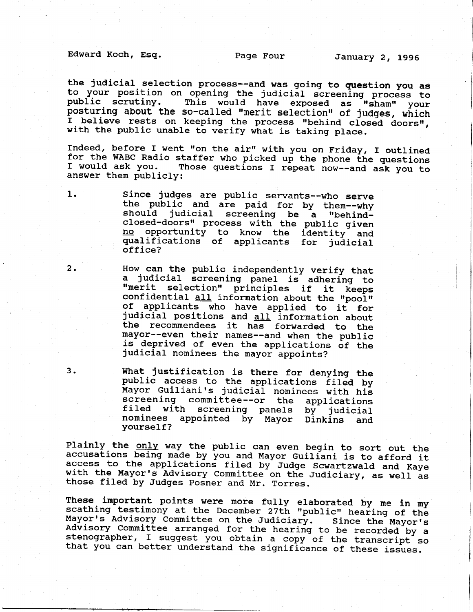Edward Koch, Esq. Page Four January 2, 1996

the judicial selection process--and was going to question you as to your position on opening the judicial screening process to public scrutiny. This would have exposed as "sham" your public scrutiny. This would have exposed as "sham" your<br>posturing about the so-called "merit selection" of judges, which I believe rests on keeping the process "behind closed doors", with the public unable to verify what is taking place.

Indeed, before I went "on the air" with you on Friday, I outlined for the WABC Radio staffer who picked up the phone the questions<br>I would ask you. Those questions I repeat now--and ask you to Those questions I repeat now--and ask you to answer them publicly:

2 .

1. Since judges are public servants--who serve the public and are paid for by them--why should judicial screening be a "behindclosed-doors" process with the public given no opportunity to know the identity and qualifications of applicants for judicial<br>office?

> How can the public independently verify that<br>a judicial screening panel is adhering to "merit selection" principles if it keeps confidential all information about the "pool"<br>of applicants who have applied to it for judicial positions and all information about the recommendees it has forwarded to the mayor--even their names--and when the public is deprived of even the applications of the<br>judicial nominees the mayor appoints?

3. What Justification is there for denying the public access to the applications filed by Mayor Guiliani's judicial nominees with his screening conmittee--or the applications filed with screening panels by judicial nominees appointed by Mayor Oinkins and yourself?

Plainly the only way the public can even begin to sort out the accusations being made by you and Mayor Guiliani is to afford it access to the applications filed by Judge Scwartzwald and Kaye with the Mayor's Advisory Committee on the Judiciary, as well as those filed by Judges Posner and Mr. Torres.

These important points were more fully elaborated by me in my<br>scathing testimony at the December 27th "public" hearing of the<br>Mayor's Advisory Committee on the Judiciary. Since the Mayor's<br>Advisory Committee arranged for t stenographer, I suggest you obtain a copy of the transcript so that you can better understand the significance of these issues.